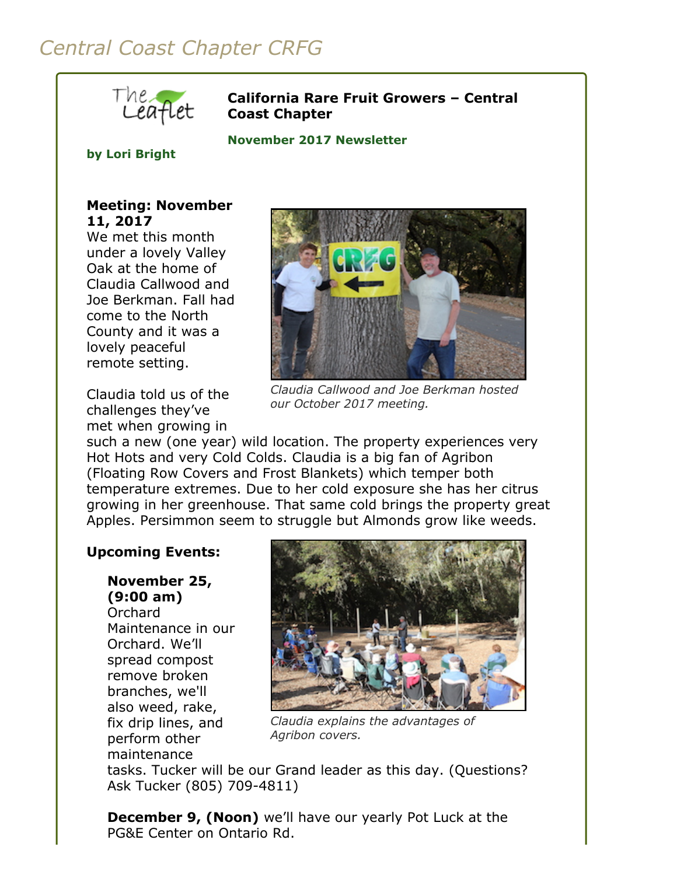# *Central Coast Chapter CRFG*



#### **California Rare Fruit Growers – Central Coast Chapter**

**November 2017 Newsletter** 

#### **by Lori Bright**

### **Meeting: November 11, 2017**

We met this month under a lovely Valley Oak at the home of Claudia Callwood and Joe Berkman. Fall had come to the North County and it was a lovely peaceful remote setting.

Claudia told us of the challenges they've met when growing in



*Claudia Callwood and Joe Berkman hosted our October 2017 meeting.*

such a new (one year) wild location. The property experiences very Hot Hots and very Cold Colds. Claudia is a big fan of Agribon (Floating Row Covers and Frost Blankets) which temper both temperature extremes. Due to her cold exposure she has her citrus growing in her greenhouse. That same cold brings the property great Apples. Persimmon seem to struggle but Almonds grow like weeds.

## **Upcoming Events:**

**November 25, (9:00 am)** Orchard

Maintenance in our Orchard. We'll spread compost remove broken branches, we'll also weed, rake, fix drip lines, and perform other maintenance



*Claudia explains the advantages of Agribon covers.*

tasks. Tucker will be our Grand leader as this day. (Questions? Ask Tucker (805) 709-4811)

**December 9, (Noon)** we'll have our yearly Pot Luck at the PG&E Center on Ontario Rd.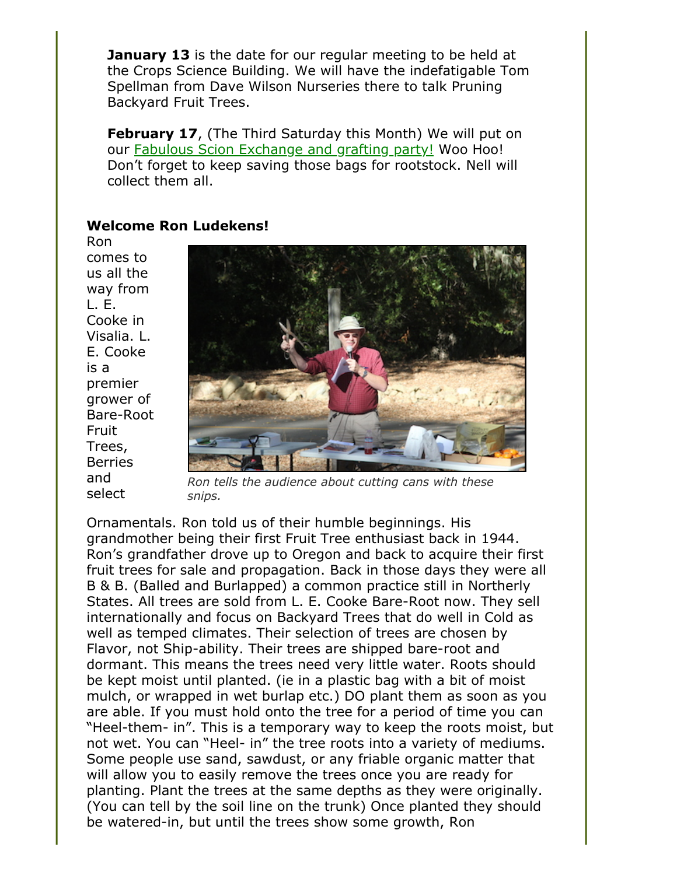**January 13** is the date for our regular meeting to be held at the Crops Science Building. We will have the indefatigable Tom Spellman from Dave Wilson Nurseries there to talk Pruning Backyard Fruit Trees.

**February 17**, (The Third Saturday this Month) We will put on our [Fabulous Scion Exchange and grafting party!](http://www.crfg-central.org/scionExchange.html) Woo Hoo! Don't forget to keep saving those bags for rootstock. Nell will collect them all.

#### **Welcome Ron Ludekens!**

Ron comes to us all the way from L. E. Cooke in Visalia. L. E. Cooke is a premier grower of Bare-Root Fruit Trees, Berries and select



*Ron tells the audience about cutting cans with these snips.*

Ornamentals. Ron told us of their humble beginnings. His grandmother being their first Fruit Tree enthusiast back in 1944. Ron's grandfather drove up to Oregon and back to acquire their first fruit trees for sale and propagation. Back in those days they were all B & B. (Balled and Burlapped) a common practice still in Northerly States. All trees are sold from L. E. Cooke Bare-Root now. They sell internationally and focus on Backyard Trees that do well in Cold as well as temped climates. Their selection of trees are chosen by Flavor, not Ship-ability. Their trees are shipped bare-root and dormant. This means the trees need very little water. Roots should be kept moist until planted. (ie in a plastic bag with a bit of moist mulch, or wrapped in wet burlap etc.) DO plant them as soon as you are able. If you must hold onto the tree for a period of time you can "Heel-them- in". This is a temporary way to keep the roots moist, but not wet. You can "Heel- in" the tree roots into a variety of mediums. Some people use sand, sawdust, or any friable organic matter that will allow you to easily remove the trees once you are ready for planting. Plant the trees at the same depths as they were originally. (You can tell by the soil line on the trunk) Once planted they should be watered-in, but until the trees show some growth, Ron